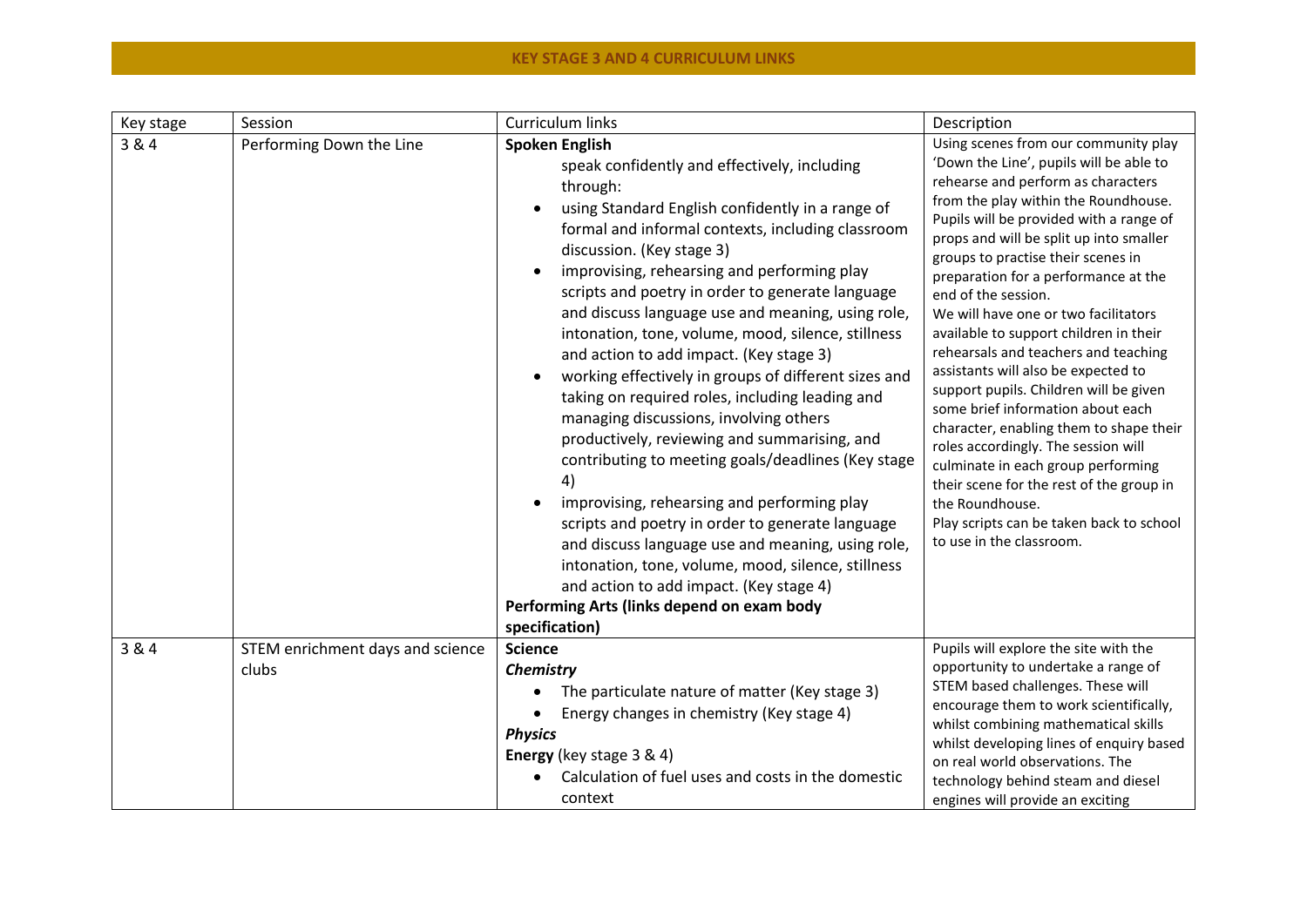## **KEY STAGE 3 AND 4 CURRICULUM LINKS**

| Key stage | Session                                   | Curriculum links                                                                                                                                                                                                                                                                                                                                                                                                                                                                                                                                                                                                                                                                                                                                                                                                                                                                                                                                                                                                                                                                        | Description                                                                                                                                                                                                                                                                                                                                                                                                                                                                                                                                                                                                                                                                                                                                                                                                                                                             |
|-----------|-------------------------------------------|-----------------------------------------------------------------------------------------------------------------------------------------------------------------------------------------------------------------------------------------------------------------------------------------------------------------------------------------------------------------------------------------------------------------------------------------------------------------------------------------------------------------------------------------------------------------------------------------------------------------------------------------------------------------------------------------------------------------------------------------------------------------------------------------------------------------------------------------------------------------------------------------------------------------------------------------------------------------------------------------------------------------------------------------------------------------------------------------|-------------------------------------------------------------------------------------------------------------------------------------------------------------------------------------------------------------------------------------------------------------------------------------------------------------------------------------------------------------------------------------------------------------------------------------------------------------------------------------------------------------------------------------------------------------------------------------------------------------------------------------------------------------------------------------------------------------------------------------------------------------------------------------------------------------------------------------------------------------------------|
| 3 & 4     | Performing Down the Line                  | <b>Spoken English</b><br>speak confidently and effectively, including<br>through:<br>using Standard English confidently in a range of<br>formal and informal contexts, including classroom<br>discussion. (Key stage 3)<br>improvising, rehearsing and performing play<br>scripts and poetry in order to generate language<br>and discuss language use and meaning, using role,<br>intonation, tone, volume, mood, silence, stillness<br>and action to add impact. (Key stage 3)<br>working effectively in groups of different sizes and<br>$\bullet$<br>taking on required roles, including leading and<br>managing discussions, involving others<br>productively, reviewing and summarising, and<br>contributing to meeting goals/deadlines (Key stage<br>4)<br>improvising, rehearsing and performing play<br>scripts and poetry in order to generate language<br>and discuss language use and meaning, using role,<br>intonation, tone, volume, mood, silence, stillness<br>and action to add impact. (Key stage 4)<br>Performing Arts (links depend on exam body<br>specification) | Using scenes from our community play<br>'Down the Line', pupils will be able to<br>rehearse and perform as characters<br>from the play within the Roundhouse.<br>Pupils will be provided with a range of<br>props and will be split up into smaller<br>groups to practise their scenes in<br>preparation for a performance at the<br>end of the session.<br>We will have one or two facilitators<br>available to support children in their<br>rehearsals and teachers and teaching<br>assistants will also be expected to<br>support pupils. Children will be given<br>some brief information about each<br>character, enabling them to shape their<br>roles accordingly. The session will<br>culminate in each group performing<br>their scene for the rest of the group in<br>the Roundhouse.<br>Play scripts can be taken back to school<br>to use in the classroom. |
| 3 & 4     | STEM enrichment days and science<br>clubs | <b>Science</b><br><b>Chemistry</b><br>The particulate nature of matter (Key stage 3)<br>Energy changes in chemistry (Key stage 4)<br><b>Physics</b><br>Energy (key stage 3 & 4)<br>Calculation of fuel uses and costs in the domestic<br>context                                                                                                                                                                                                                                                                                                                                                                                                                                                                                                                                                                                                                                                                                                                                                                                                                                        | Pupils will explore the site with the<br>opportunity to undertake a range of<br>STEM based challenges. These will<br>encourage them to work scientifically,<br>whilst combining mathematical skills<br>whilst developing lines of enquiry based<br>on real world observations. The<br>technology behind steam and diesel<br>engines will provide an exciting                                                                                                                                                                                                                                                                                                                                                                                                                                                                                                            |